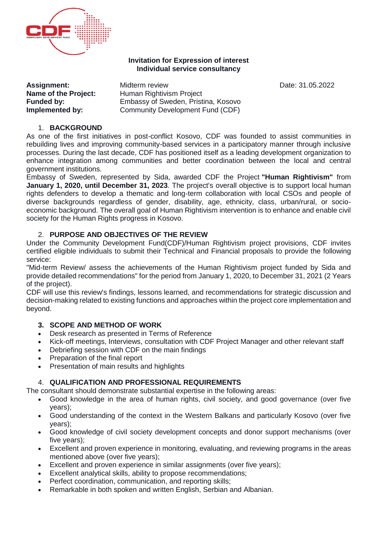

#### **Invitation for Expression of interest Individual service consultancy**

**Assignment:** Midterm review **Date: 31.05.2022 Name of the Project:** Human Rightivism Project **Funded by:** Embassy of Sweden, Pristina, Kosovo<br> **Implemented by:** Community Development Fund (CDF) **Community Development Fund (CDF)** 

## 1. **BACKGROUND**

As one of the first initiatives in post-conflict Kosovo, CDF was founded to assist communities in rebuilding lives and improving community-based services in a participatory manner through inclusive processes. During the last decade, CDF has positioned itself as a leading development organization to enhance integration among communities and better coordination between the local and central government institutions.

Embassy of Sweden, represented by Sida, awarded CDF the Project **"Human Rightivism"** from **January 1, 2020, until December 31, 2023**. The project's overall objective is to support local human rights defenders to develop a thematic and long-term collaboration with local CSOs and people of diverse backgrounds regardless of gender, disability, age, ethnicity, class, urban/rural, or socioeconomic background. The overall goal of Human Rightivism intervention is to enhance and enable civil society for the Human Rights progress in Kosovo.

## 2. **PURPOSE AND OBJECTIVES OF THE REVIEW**

Under the Community Development Fund(CDF)/Human Rightivism project provisions, CDF invites certified eligible individuals to submit their Technical and Financial proposals to provide the following service:

"Mid-term Review/ assess the achievements of the Human Rightivism project funded by Sida and provide detailed recommendations" for the period from January 1, 2020, to December 31, 2021 (2 Years of the project).

CDF will use this review's findings, lessons learned, and recommendations for strategic discussion and decision-making related to existing functions and approaches within the project core implementation and beyond.

### **3. SCOPE AND METHOD OF WORK**

- Desk research as presented in Terms of Reference
- Kick-off meetings, Interviews, consultation with CDF Project Manager and other relevant staff
- Debriefing session with CDF on the main findings
- Preparation of the final report
- Presentation of main results and highlights

# 4. **QUALIFICATION AND PROFESSIONAL REQUIREMENTS**

The consultant should demonstrate substantial expertise in the following areas:

- Good knowledge in the area of human rights, civil society, and good governance (over five years);
- Good understanding of the context in the Western Balkans and particularly Kosovo (over five years);
- Good knowledge of civil society development concepts and donor support mechanisms (over five years);
- Excellent and proven experience in monitoring, evaluating, and reviewing programs in the areas mentioned above (over five years);
- Excellent and proven experience in similar assignments (over five years);
- Excellent analytical skills, ability to propose recommendations;
- Perfect coordination, communication, and reporting skills;
- Remarkable in both spoken and written English, Serbian and Albanian.